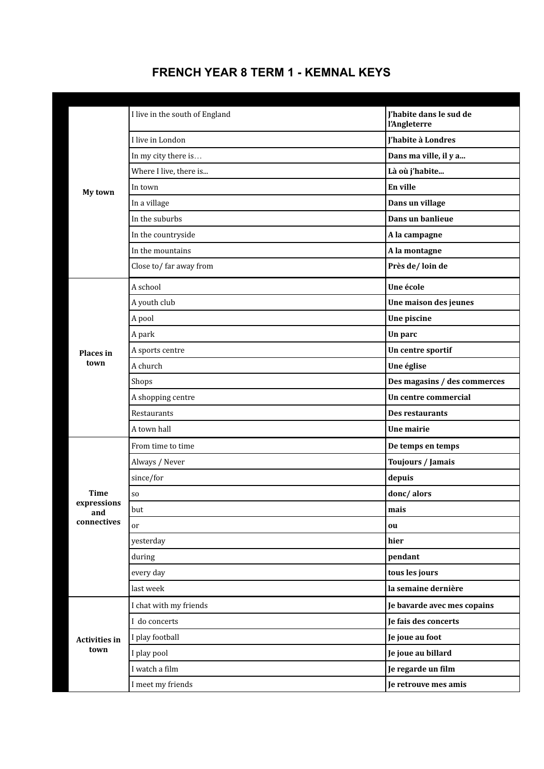## **FRENCH YEAR 8 TERM 1 - KEMNAL KEYS**

| My town                      | I live in the south of England | J'habite dans le sud de<br>l'Angleterre |
|------------------------------|--------------------------------|-----------------------------------------|
|                              | I live in London               | J'habite à Londres                      |
|                              | In my city there is            | Dans ma ville, il y a                   |
|                              | Where I live, there is         | Là où j'habite                          |
|                              | In town                        | En ville                                |
|                              | In a village                   | Dans un village                         |
|                              | In the suburbs                 | Dans un banlieue                        |
|                              | In the countryside             | A la campagne                           |
|                              | In the mountains               | A la montagne                           |
|                              | Close to/far away from         | Près de/loin de                         |
|                              | A school                       | Une école                               |
|                              | A youth club                   | Une maison des jeunes                   |
|                              | A pool                         | Une piscine                             |
|                              | A park                         | Un parc                                 |
| <b>Places</b> in             | A sports centre                | Un centre sportif                       |
| town                         | A church                       | Une église                              |
|                              | Shops                          | Des magasins / des commerces            |
|                              | A shopping centre              | Un centre commercial                    |
|                              | Restaurants                    | Des restaurants                         |
|                              | A town hall                    | <b>Une mairie</b>                       |
|                              | From time to time              | De temps en temps                       |
|                              | Always / Never                 | Toujours / Jamais                       |
|                              | since/for                      | depuis                                  |
| Time                         | <b>SO</b>                      | donc/alors                              |
| expressions<br>and           | but                            | mais                                    |
| connectives                  | or                             | ou                                      |
|                              | yesterday                      | hier                                    |
|                              | during                         | pendant                                 |
|                              | every day                      | tous les jours                          |
|                              | last week                      | la semaine dernière                     |
| <b>Activities in</b><br>town | I chat with my friends         | Je bavarde avec mes copains             |
|                              | I do concerts                  | Je fais des concerts                    |
|                              | I play football                | Je joue au foot                         |
|                              | I play pool                    | Je joue au billard                      |
|                              | I watch a film                 | Je regarde un film                      |
|                              | I meet my friends              | Je retrouve mes amis                    |